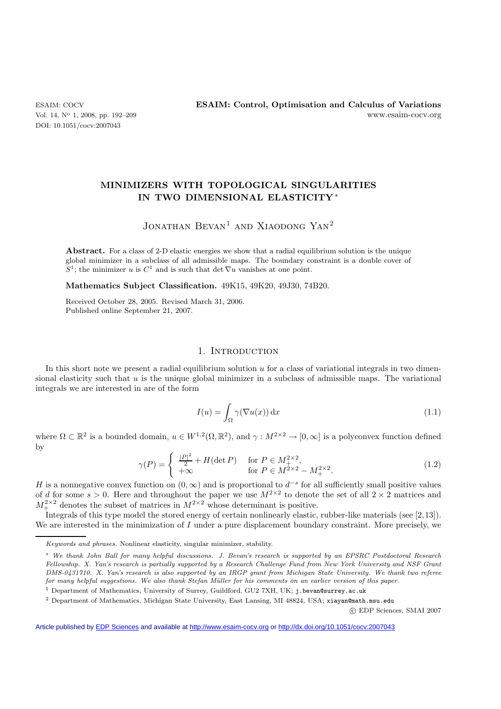DOI: 10.1051/cocv:2007043

## **MINIMIZERS WITH TOPOLOGICAL SINGULARITIES IN TWO DIMENSIONAL ELASTICITY** ∗

# JONATHAN BEVAN<sup>1</sup> AND XIAODONG YAN<sup>2</sup>

**Abstract.** For a class of 2-D elastic energies we show that a radial equilibrium solution is the unique global minimizer in a subclass of all admissible maps. The boundary constraint is a double cover of  $S^1$ ; the minimizer *u* is  $C^1$  and is such that det  $\nabla u$  vanishes at one point.

**Mathematics Subject Classification.** 49K15, 49K20, 49J30, 74B20.

Received October 28, 2005. Revised March 31, 2006. Published online September 21, 2007.

## 1. INTRODUCTION

In this short note we present a radial equilibrium solution  $u$  for a class of variational integrals in two dimensional elasticity such that  $u$  is the unique global minimizer in a subclass of admissible maps. The variational integrals we are interested in are of the form

$$
I(u) = \int_{\Omega} \gamma(\nabla u(x)) dx
$$
 (1.1)

where  $\Omega \subset \mathbb{R}^2$  is a bounded domain,  $u \in W^{1,2}(\Omega,\mathbb{R}^2)$ , and  $\gamma : M^{2 \times 2} \to [0,\infty]$  is a polyconvex function defined by

$$
\gamma(P) = \begin{cases} \frac{|P|^2}{2} + H(\det P) & \text{for } P \in M_+^{2 \times 2}, \\ +\infty & \text{for } P \in M^{2 \times 2} - M_+^{2 \times 2}. \end{cases}
$$
(1.2)

H is a nonnegative convex function on  $(0, \infty)$  and is proportional to  $d^{-s}$  for all sufficiently small positive values of d for some  $s > 0$ . Here and throughout the paper we use  $M^{2 \times 2}$  to denote the set of all  $2 \times 2$  matrices and  $M_{+}^{2\times2}$  denotes the subset of matrices in  $M_{-}^{2\times2}$  whose determinant is positive.

Integrals of this type model the stored energy of certain nonlinearly elastic, rubber-like materials (see [2,13]). We are interested in the minimization of I under a pure displacement boundary constraint. More precisely, we

-c EDP Sciences, SMAI 2007

Article published by [EDP Sciences](http://www.edpsciences.org) and available at<http://www.esaim-cocv.org> or <http://dx.doi.org/10.1051/cocv:2007043>

*Keywords and phrases.* Nonlinear elasticity, singular minimizer, stability.

<sup>∗</sup> *We thank John Ball for many helpful discussions. J. Bevan's research is supported by an EPSRC Postdoctoral Research Fellowship. X. Yan's research is partially supported by a Research Challenge Fund from New York University and NSF Grant DMS-0431710. X. Yan's research is also supported by an IRGP grant from Michigan State University. We thank two referee for many helpful suggestions. We also thank Stefan M¨uller for his comments on an earlier version of this paper.*

<sup>1</sup> Department of Mathematics, University of Surrey, Guildford, GU2 7XH, UK; j.bevan@surrey.ac.uk

<sup>2</sup> Department of Mathematics, Michigan State University, East Lansing, MI 48824, USA; xiayan@math.msu.edu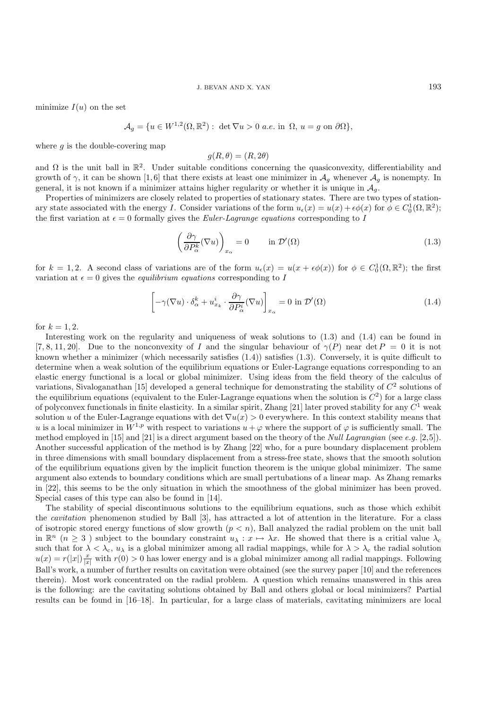minimize  $I(u)$  on the set

$$
\mathcal{A}_g = \{ u \in W^{1,2}(\Omega, \mathbb{R}^2) : \det \nabla u > 0 \text{ a.e. in } \Omega, u = g \text{ on } \partial \Omega \},
$$

where  $q$  is the double-covering map

$$
g(R, \theta) = (R, 2\theta)
$$

and  $\Omega$  is the unit ball in  $\mathbb{R}^2$ . Under suitable conditions concerning the quasiconvexity, differentiability and growth of  $\gamma$ , it can be shown [1,6] that there exists at least one minimizer in  $\mathcal{A}_g$  whenever  $\mathcal{A}_g$  is nonempty. In general, it is not known if a minimizer attains higher regularity or whether it is unique in  $\mathcal{A}_q$ .

Properties of minimizers are closely related to properties of stationary states. There are two types of stationary state associated with the energy I. Consider variations of the form  $u_{\epsilon}(x) = u(x) + \epsilon \phi(x)$  for  $\phi \in C_0^1(\Omega, \mathbb{R}^2)$ ; the first variation at  $\epsilon = 0$  formally gives the *Euler-Lagrange equations* corresponding to I

$$
\left(\frac{\partial \gamma}{\partial P_{\alpha}^{k}}(\nabla u)\right)_{x_{\alpha}} = 0 \qquad \text{in } \mathcal{D}'(\Omega)
$$
\n(1.3)

for  $k = 1, 2$ . A second class of variations are of the form  $u_{\epsilon}(x) = u(x + \epsilon \phi(x))$  for  $\phi \in C_0^1(\Omega, \mathbb{R}^2)$ ; the first variation at  $\epsilon = 0$  gives the *equilibrium equations* corresponding to I

$$
\left[ -\gamma(\nabla u) \cdot \delta^k_{\alpha} + u^i_{x_k} \cdot \frac{\partial \gamma}{\partial P^i_{\alpha}} (\nabla u) \right]_{x_{\alpha}} = 0 \text{ in } \mathcal{D}'(\Omega)
$$
\n(1.4)

for  $k = 1, 2$ .

Interesting work on the regularity and uniqueness of weak solutions to (1.3) and (1.4) can be found in [7, 8, 11, 20]. Due to the nonconvexity of I and the singular behaviour of  $\gamma(P)$  near det  $P = 0$  it is not known whether a minimizer (which necessarily satisfies (1.4)) satisfies (1.3). Conversely, it is quite difficult to determine when a weak solution of the equilibrium equations or Euler-Lagrange equations corresponding to an elastic energy functional is a local or global minimizer. Using ideas from the field theory of the calculus of variations, Sivaloganathan [15] developed a general technique for demonstrating the stability of  $C^2$  solutions of the equilibrium equations (equivalent to the Euler-Lagrange equations when the solution is  $C<sup>2</sup>$ ) for a large class of polyconvex functionals in finite elasticity. In a similar spirit, Zhang [21] later proved stability for any  $C<sup>1</sup>$  weak solution u of the Euler-Lagrange equations with det  $\nabla u(x) > 0$  everywhere. In this context stability means that u is a local minimizer in  $W^{1,p}$  with respect to variations  $u + \varphi$  where the support of  $\varphi$  is sufficiently small. The method employed in [15] and [21] is a direct argument based on the theory of the *Null Lagrangian* (see *e.g.* [2,5]). Another successful application of the method is by Zhang [22] who, for a pure boundary displacement problem in three dimensions with small boundary displacement from a stress-free state, shows that the smooth solution of the equilibrium equations given by the implicit function theorem is the unique global minimizer. The same argument also extends to boundary conditions which are small pertubations of a linear map. As Zhang remarks in [22], this seems to be the only situation in which the smoothness of the global minimizer has been proved. Special cases of this type can also be found in [14].

The stability of special discontinuous solutions to the equilibrium equations, such as those which exhibit the *cavitation* phenomenon studied by Ball [3], has attracted a lot of attention in the literature. For a class of isotropic stored energy functions of slow growth  $(p < n)$ , Ball analyzed the radial problem on the unit ball in  $\mathbb{R}^n$  ( $n \geq 3$ ) subject to the boundary constraint  $u_\lambda : x \mapsto \lambda x$ . He showed that there is a critial value  $\lambda_c$ such that for  $\lambda < \lambda_c$ ,  $u_\lambda$  is a global minimizer among all radial mappings, while for  $\lambda > \lambda_c$  the radial solution  $u(x) = r(|x|) \frac{x}{|x|}$  with  $r(0) > 0$  has lower energy and is a global minimizer among all radial mappings. Following Ball's work, a number of further results on cavitation were obtained (see the survey paper [10] and the references therein). Most work concentrated on the radial problem. A question which remains unanswered in this area is the following: are the cavitating solutions obtained by Ball and others global or local minimizers? Partial results can be found in [16–18]. In particular, for a large class of materials, cavitating minimizers are local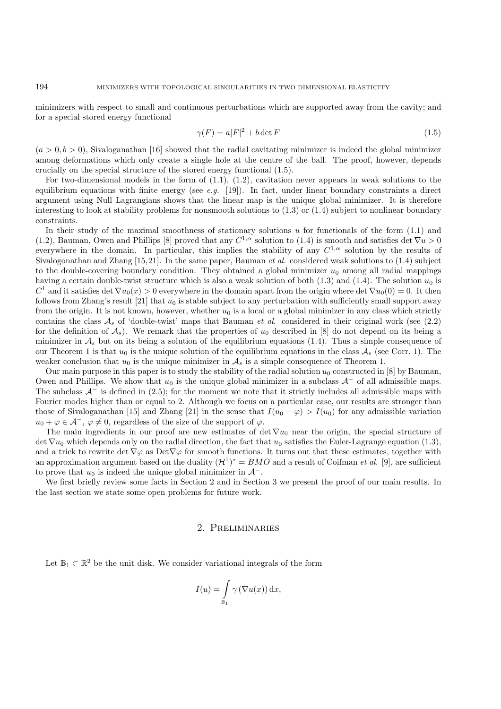minimizers with respect to small and continuous perturbations which are supported away from the cavity; and for a special stored energy functional

$$
\gamma(F) = a|F|^2 + b \det F \tag{1.5}
$$

 $(a > 0, b > 0)$ , Sivaloganathan [16] showed that the radial cavitating minimizer is indeed the global minimizer among deformations which only create a single hole at the centre of the ball. The proof, however, depends crucially on the special structure of the stored energy functional (1.5).

For two-dimensional models in the form of  $(1.1)$ ,  $(1.2)$ , cavitation never appears in weak solutions to the equilibrium equations with finite energy (see *e.g.* [19]). In fact, under linear boundary constraints a direct argument using Null Lagrangians shows that the linear map is the unique global minimizer. It is therefore interesting to look at stability problems for nonsmooth solutions to  $(1.3)$  or  $(1.4)$  subject to nonlinear boundary constraints.

In their study of the maximal smoothness of stationary solutions  $u$  for functionals of the form  $(1.1)$  and (1.2), Bauman, Owen and Phillips [8] proved that any  $C^{1,\alpha}$  solution to (1.4) is smooth and satisfies det  $\nabla u > 0$ everywhere in the domain. In particular, this implies the stability of any  $C^{1,\alpha}$  solution by the results of Sivalogonathan and Zhang [15,21]. In the same paper, Bauman *et al.* considered weak solutions to (1.4) subject to the double-covering boundary condition. They obtained a global minimizer  $u_0$  among all radial mappings having a certain double-twist structure which is also a weak solution of both (1.3) and (1.4). The solution  $u_0$  is  $C^1$  and it satisfies det  $\nabla u_0(x) > 0$  everywhere in the domain apart from the origin where det  $\nabla u_0(0) = 0$ . It then follows from Zhang's result [21] that  $u_0$  is stable subject to any perturbation with sufficiently small support away from the origin. It is not known, however, whether  $u_0$  is a local or a global minimizer in any class which strictly contains the class  $A_s$  of 'double-twist' maps that Bauman *et al.* considered in their original work (see  $(2.2)$ ) for the definition of  $A_s$ ). We remark that the properties of  $u_0$  described in [8] do not depend on its being a minimizer in  $A<sub>s</sub>$  but on its being a solution of the equilibrium equations (1.4). Thus a simple consequence of our Theorem 1 is that  $u_0$  is the unique solution of the equilibrium equations in the class  $A_s$  (see Corr. 1). The weaker conclusion that  $u_0$  is the unique minimizer in  $\mathcal{A}_s$  is a simple consequence of Theorem 1.

Our main purpose in this paper is to study the stability of the radial solution  $u_0$  constructed in [8] by Bauman, Owen and Phillips. We show that  $u_0$  is the unique global minimizer in a subclass  $A^-$  of all admissible maps. The subclass  $A^-$  is defined in (2.5); for the moment we note that it strictly includes all admissible maps with Fourier modes higher than or equal to 2. Although we focus on a particular case, our results are stronger than those of Sivaloganathan [15] and Zhang [21] in the sense that  $I(u_0 + \varphi) > I(u_0)$  for any admissible variation  $u_0 + \varphi \in \mathcal{A}^-$ ,  $\varphi \neq 0$ , regardless of the size of the support of  $\varphi$ .

The main ingredients in our proof are new estimates of det  $\nabla u_0$  near the origin, the special structure of det  $\nabla u_0$  which depends only on the radial direction, the fact that  $u_0$  satisfies the Euler-Lagrange equation (1.3), and a trick to rewrite det  $\nabla\varphi$  as Det $\nabla\varphi$  for smooth functions. It turns out that these estimates, together with an approximation argument based on the duality  $(\mathcal{H}^1)^* = BMO$  and a result of Coifman *et al.* [9], are sufficient to prove that  $u_0$  is indeed the unique global minimizer in  $\mathcal{A}^-$ .

We first briefly review some facts in Section 2 and in Section 3 we present the proof of our main results. In the last section we state some open problems for future work.

#### 2. Preliminaries

Let  $\mathbb{B}_1 \subset \mathbb{R}^2$  be the unit disk. We consider variational integrals of the form

$$
I(u) = \int_{\mathbb{B}_1} \gamma \left( \nabla u(x) \right) dx,
$$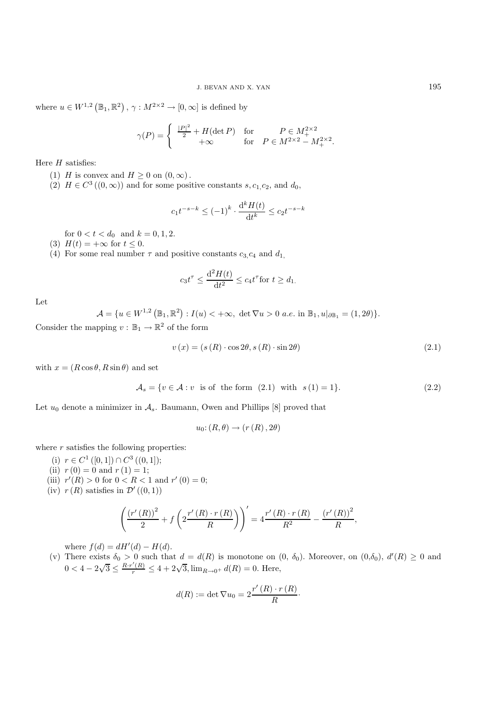where  $u \in W^{1,2}(\mathbb{B}_1,\mathbb{R}^2), \gamma : M^{2\times 2} \to [0,\infty]$  is defined by

$$
\gamma(P) = \begin{cases} \frac{|P|^2}{2} + H(\det P) & \text{for} \qquad P \in M_+^{2 \times 2} \\ +\infty & \text{for} \quad P \in M^{2 \times 2} - M_+^{2 \times 2} . \end{cases}
$$

Here  $H$  satisfies:

- (1) H is convex and  $H \geq 0$  on  $(0, \infty)$ .
- (2)  $H \in C^3((0,\infty))$  and for some positive constants s,  $c_1,c_2$ , and  $d_0$ ,

$$
c_1 t^{-s-k} \le (-1)^k \cdot \frac{d^k H(t)}{dt^k} \le c_2 t^{-s-k}
$$

for  $0 < t < d_0$  and  $k = 0, 1, 2$ .

- (3)  $H(t) = +\infty$  for  $t \leq 0$ .
- (4) For some real number  $\tau$  and positive constants  $c_3, c_4$  and  $d_1$ ,

$$
c_3 t^{\tau} \le \frac{\mathrm{d}^2 H(t)}{\mathrm{d}t^2} \le c_4 t^{\tau} \text{for } t \ge d_1.
$$

Let

$$
\mathcal{A} = \{ u \in W^{1,2}(\mathbb{B}_1, \mathbb{R}^2) : I(u) < +\infty, \ \det \nabla u > 0 \ \text{a.e. in } \mathbb{B}_1, u|_{\partial \mathbb{B}_1} = (1, 2\theta) \}.
$$

Consider the mapping  $v : \mathbb{B}_1 \to \mathbb{R}^2$  of the form

$$
v(x) = (s(R) \cdot \cos 2\theta, s(R) \cdot \sin 2\theta) \tag{2.1}
$$

with  $x = (R \cos \theta, R \sin \theta)$  and set

$$
\mathcal{A}_s = \{ v \in \mathcal{A} : v \text{ is of the form } (2.1) \text{ with } s(1) = 1 \}. \tag{2.2}
$$

Let  $u_0$  denote a minimizer in  $\mathcal{A}_s$ . Baumann, Owen and Phillips [8] proved that

$$
u_0: (R, \theta) \to (r(R), 2\theta)
$$

where  $r$  satisfies the following properties:

- (i)  $r \in C^1([0,1]) \cap C^3((0,1])$ ;
- (ii)  $r(0) = 0$  and  $r(1) = 1$ ;
- (iii)  $r'(R) > 0$  for  $0 < R < 1$  and  $r'(0) = 0$ ;
- (iv)  $r(R)$  satisfies in  $\mathcal{D}'((0,1))$

$$
\left(\frac{(r'(R))^{2}}{2} + f\left(2\frac{r'(R) \cdot r(R)}{R}\right)\right)' = 4\frac{r'(R) \cdot r(R)}{R^{2}} - \frac{(r'(R))^{2}}{R},
$$

where  $f(d) = dH'(d) - H(d)$ .

(v) There exists  $\delta_0 > 0$  such that  $d = d(R)$  is monotone on  $(0, \delta_0)$ . Moreover, on  $(0, \delta_0)$ ,  $d'(R) \geq 0$  and  $0 < 4 - 2\sqrt{3} \le \frac{R \cdot r'(R)}{r} \le 4 + 2\sqrt{3}, \lim_{R \to 0^+} d(R) = 0.$  Here,

$$
d(R) := \det \nabla u_0 = 2 \frac{r'(R) \cdot r(R)}{R} \cdot
$$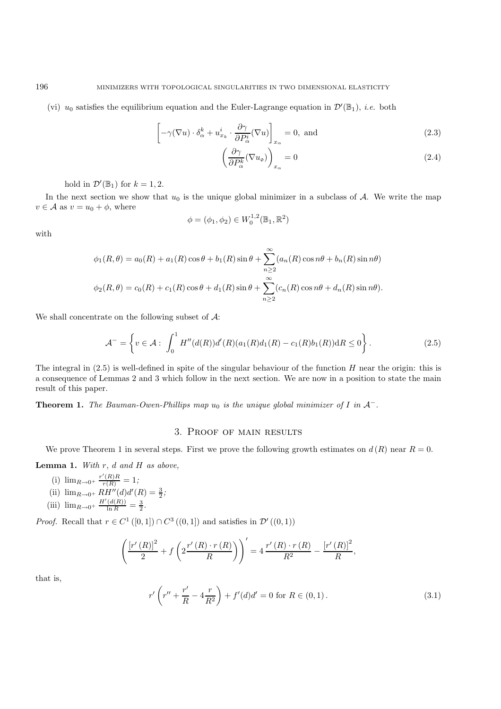(vi)  $u_0$  satisfies the equilibrium equation and the Euler-Lagrange equation in  $\mathcal{D}'(\mathbb{B}_1)$ , *i.e.* both

$$
\left[ -\gamma(\nabla u) \cdot \delta^k_{\alpha} + u^i_{x_k} \cdot \frac{\partial \gamma}{\partial P^i_{\alpha}} (\nabla u) \right]_{x_{\alpha}} = 0, \text{ and}
$$
\n(2.3)

$$
\left(\frac{\partial \gamma}{\partial P_{\alpha}^{k}}(\nabla u_{\mathbf{o}})\right)_{x_{\alpha}} = 0
$$
\n(2.4)

hold in  $\mathcal{D}'(\mathbb{B}_1)$  for  $k = 1, 2$ .

In the next section we show that  $u_0$  is the unique global minimizer in a subclass of  $A$ . We write the map  $v \in \mathcal{A}$  as  $v = u_0 + \phi$ , where

$$
\phi=(\phi_1,\phi_2)\in W^{1,2}_0(\mathbb{B}_1,\mathbb{R}^2)
$$

with

$$
\phi_1(R,\theta) = a_0(R) + a_1(R)\cos\theta + b_1(R)\sin\theta + \sum_{n\geq 2}^{\infty} (a_n(R)\cos n\theta + b_n(R)\sin n\theta)
$$
  

$$
\phi_2(R,\theta) = c_0(R) + c_1(R)\cos\theta + d_1(R)\sin\theta + \sum_{n\geq 2}^{\infty} (c_n(R)\cos n\theta + d_n(R)\sin n\theta).
$$

We shall concentrate on the following subset of  $A$ :

$$
\mathcal{A}^- = \left\{ v \in \mathcal{A} : \int_0^1 H''(d(R))d'(R)(a_1(R)d_1(R) - c_1(R)b_1(R)) \mathrm{d}R \le 0 \right\}.
$$
 (2.5)

The integral in  $(2.5)$  is well-defined in spite of the singular behaviour of the function H near the origin: this is a consequence of Lemmas 2 and 3 which follow in the next section. We are now in a position to state the main result of this paper.

**Theorem 1.** *The Bauman-Owen-Phillips map*  $u_0$  *is the unique global minimizer of* I *in*  $A^-$ *.* 

#### 3. Proof of main results

We prove Theorem 1 in several steps. First we prove the following growth estimates on  $d(R)$  near  $R = 0$ .

**Lemma 1.** *With* r*,* d *and* H *as above,*

(i) 
$$
\lim_{R \to 0^+} \frac{r'(R)R}{r(R)} = 1;
$$
  
\n(ii)  $\lim_{R \to 0^+} RH''(d)d'(R) = \frac{3}{2};$   
\n(iii)  $\lim_{R \to 0^+} \frac{H'(d(R))}{\ln R} = \frac{3}{2}.$ 

*Proof.* Recall that  $r \in C^1([0,1]) \cap C^3((0,1])$  and satisfies in  $\mathcal{D}'((0,1))$ 

$$
\left(\frac{\left[r'(R)\right]^{2}}{2} + f\left(2\frac{r'(R) \cdot r(R)}{R}\right)\right)' = 4\frac{r'(R) \cdot r(R)}{R^{2}} - \frac{\left[r'(R)\right]^{2}}{R},
$$

that is,

$$
r'\left(r'' + \frac{r'}{R} - 4\frac{r}{R^2}\right) + f'(d)d' = 0 \text{ for } R \in (0,1).
$$
 (3.1)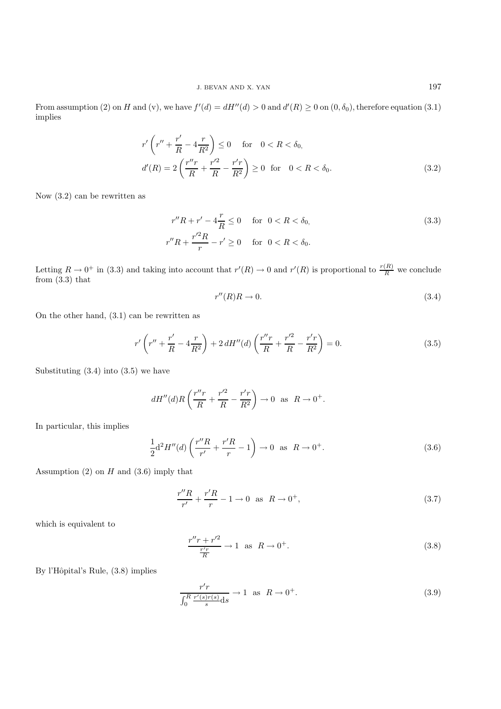From assumption (2) on H and (v), we have  $f'(d) = dH''(d) > 0$  and  $d'(R) \ge 0$  on  $(0, \delta_0)$ , therefore equation (3.1) implies

$$
r'\left(r'' + \frac{r'}{R} - 4\frac{r}{R^2}\right) \le 0 \quad \text{for} \quad 0 < R < \delta_0,
$$
\n
$$
d'(R) = 2\left(\frac{r''r}{R} + \frac{r'^2}{R} - \frac{r'r}{R^2}\right) \ge 0 \quad \text{for} \quad 0 < R < \delta_0.
$$
\n(3.2)

Now (3.2) can be rewritten as

$$
r''R + r' - 4\frac{r}{R} \le 0 \quad \text{for} \quad 0 < R < \delta_0,
$$
\n
$$
r''R + \frac{r'^2R}{r} - r' \ge 0 \quad \text{for} \quad 0 < R < \delta_0.
$$
\n(3.3)

Letting  $R \to 0^+$  in (3.3) and taking into account that  $r'(R) \to 0$  and  $r'(R)$  is proportional to  $\frac{r(R)}{R}$  we conclude from (3.3) that

$$
r''(R)R \to 0. \tag{3.4}
$$

On the other hand, (3.1) can be rewritten as

$$
r'\left(r'' + \frac{r'}{R} - 4\frac{r}{R^2}\right) + 2\,dH''(d)\left(\frac{r''r}{R} + \frac{r'^2}{R} - \frac{r'r}{R^2}\right) = 0.\tag{3.5}
$$

Substituting  $(3.4)$  into  $(3.5)$  we have

$$
dH''(d)R\left(\frac{r''r}{R} + \frac{r'^2}{R} - \frac{r'r}{R^2}\right) \to 0 \text{ as } R \to 0^+.
$$

In particular, this implies

$$
\frac{1}{2}d^2H''(d)\left(\frac{r''R}{r'} + \frac{r'R}{r} - 1\right) \to 0 \text{ as } R \to 0^+.
$$
 (3.6)

Assumption  $(2)$  on  $H$  and  $(3.6)$  imply that

$$
\frac{r''R}{r'} + \frac{r'R}{r} - 1 \to 0 \text{ as } R \to 0^+,
$$
\n(3.7)

which is equivalent to

$$
\frac{r''r + r'^2}{\frac{r'r}{R}} \to 1 \quad \text{as} \quad R \to 0^+.
$$
\n
$$
(3.8)
$$

By l'Hôpital's Rule,  $(3.8)$  implies

$$
\frac{r'r}{\int_0^R \frac{r'(s)r(s)}{s}ds} \to 1 \quad \text{as} \quad R \to 0^+.
$$
\n(3.9)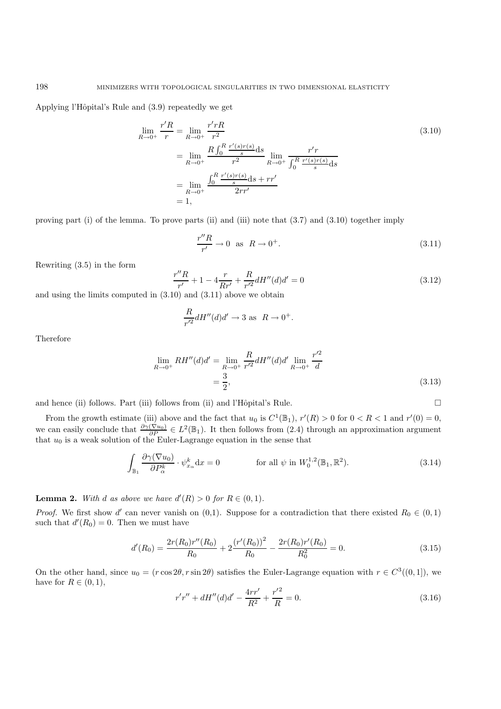Applying l'Hôpital's Rule and  $(3.9)$  repeatedly we get

$$
\lim_{R \to 0^{+}} \frac{r'R}{r} = \lim_{R \to 0^{+}} \frac{r'rR}{r^2}
$$
\n
$$
= \lim_{R \to 0^{+}} \frac{R \int_0^R \frac{r'(s)r(s)}{s} ds}{r^2} \lim_{R \to 0^{+}} \frac{r'r}{\int_0^R \frac{r'(s)r(s)}{s} ds}
$$
\n
$$
= \lim_{R \to 0^{+}} \frac{\int_0^R \frac{r'(s)r(s)}{s} ds + rr'}{2rr'}
$$
\n
$$
= 1,
$$
\n(3.10)

proving part (i) of the lemma. To prove parts (ii) and (iii) note that (3.7) and (3.10) together imply

$$
\frac{r''R}{r'} \to 0 \quad \text{as} \quad R \to 0^+.
$$
\n
$$
(3.11)
$$

Rewriting (3.5) in the form

 $\frac{r''R}{r'} + 1 - 4\frac{r}{Rr'} + \frac{R}{r'^2}dH''(d)d' = 0$  (3.12)

and using the limits computed in (3.10) and (3.11) above we obtain

$$
\frac{R}{r'^2}dH''(d)d' \to 3 \text{ as } R \to 0^+.
$$

Therefore

$$
\lim_{R \to 0^+} RH''(d)d' = \lim_{R \to 0^+} \frac{R}{r'^2} dH''(d)d' \lim_{R \to 0^+} \frac{r'^2}{d}
$$

$$
= \frac{3}{2},\tag{3.13}
$$

and hence (ii) follows. Part (iii) follows from (ii) and l'Hôpital's Rule.  $\square$ 

From the growth estimate (iii) above and the fact that  $u_0$  is  $C^1(\mathbb{B}_1)$ ,  $r'(R) > 0$  for  $0 < R < 1$  and  $r'(0) = 0$ , we can easily conclude that  $\frac{\partial \gamma(\nabla u_0)}{\partial P} \in L^2(\mathbb{B}_1)$ . It then follows from (2.4) through an approximation argument that  $u_0$  is a weak solution of the Euler-Lagrange equation in the sense that

$$
\int_{\mathbb{B}_1} \frac{\partial \gamma(\nabla u_0)}{\partial P_\alpha^k} \cdot \psi_{x_\alpha}^k dx = 0 \n\qquad \text{for all } \psi \text{ in } W_0^{1,2}(\mathbb{B}_1, \mathbb{R}^2). \n\tag{3.14}
$$

**Lemma 2.** *With d as above we have*  $d'(R) > 0$  *for*  $R \in (0,1)$ *.* 

*Proof.* We first show d' can never vanish on  $(0,1)$ . Suppose for a contradiction that there existed  $R_0 \in (0,1)$ such that  $d'(R_0) = 0$ . Then we must have

$$
d'(R_0) = \frac{2r(R_0)r''(R_0)}{R_0} + 2\frac{(r'(R_0))^2}{R_0} - \frac{2r(R_0)r'(R_0)}{R_0^2} = 0.
$$
\n(3.15)

On the other hand, since  $u_0 = (r \cos 2\theta, r \sin 2\theta)$  satisfies the Euler-Lagrange equation with  $r \in C^3((0, 1])$ , we have for  $R \in (0, 1)$ ,

$$
r'r'' + dH''(d)d' - \frac{4rr'}{R^2} + \frac{r'^2}{R} = 0.
$$
\n(3.16)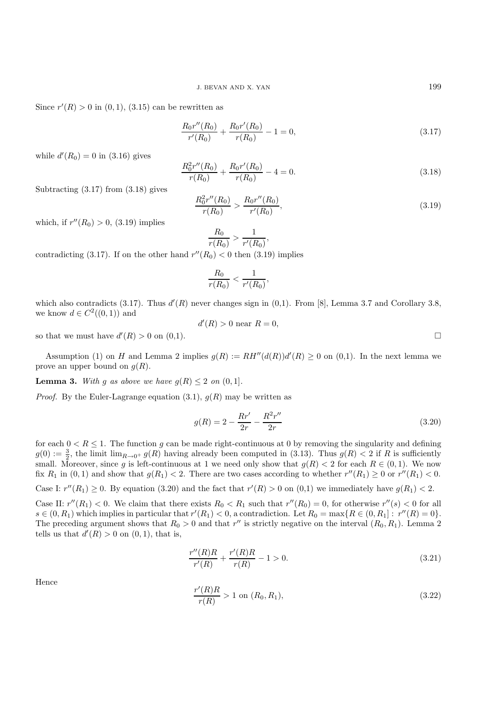Since  $r'(R) > 0$  in  $(0, 1)$ ,  $(3.15)$  can be rewritten as

$$
\frac{R_0 r''(R_0)}{r'(R_0)} + \frac{R_0 r'(R_0)}{r(R_0)} - 1 = 0,
$$
\n(3.17)

while  $d'(R_0) = 0$  in  $(3.16)$  gives

$$
\frac{R_0^2 r''(R_0)}{r(R_0)} + \frac{R_0 r'(R_0)}{r(R_0)} - 4 = 0.
$$
\n(3.18)

Subtracting (3.17) from (3.18) gives

$$
\frac{R_0^2 r''(R_0)}{r(R_0)} > \frac{R_0 r''(R_0)}{r'(R_0)},
$$
\n(3.19)

which, if  $r''(R_0) > 0$ , (3.19) implies

$$
\frac{R_0}{r(R_0)} > \frac{1}{r'(R_0)},
$$

contradicting (3.17). If on the other hand  $r''(R_0) < 0$  then (3.19) implies

$$
\frac{R_0}{r(R_0)} < \frac{1}{r'(R_0)},
$$

which also contradicts  $(3.17)$ . Thus  $d'(R)$  never changes sign in  $(0,1)$ . From [8], Lemma 3.7 and Corollary 3.8, we know  $d \in C^2((0,1))$  and

$$
d'(R) > 0 \text{ near } R = 0,
$$

so that we must have  $d'(R) > 0$  on  $(0,1)$ .

Assumption (1) on H and Lemma 2 implies  $g(R) := RH''(d(R))d'(R) \geq 0$  on (0,1). In the next lemma we prove an upper bound on  $q(R)$ .

**Lemma 3.** *With* g as above we have  $g(R) \leq 2$  on  $(0, 1]$ .

*Proof.* By the Euler-Lagrange equation  $(3.1)$ ,  $g(R)$  may be written as

$$
g(R) = 2 - \frac{Rr'}{2r} - \frac{R^2r''}{2r}
$$
\n(3.20)

for each  $0 < R \leq 1$ . The function g can be made right-continuous at 0 by removing the singularity and defining  $g(0) := \frac{3}{2}$ , the limit  $\lim_{R\to 0^+} g(R)$  having already been computed in (3.13). Thus  $g(R) < 2$  if R is sufficiently small. Moreover, since g is left-continuous at 1 we need only show that  $g(R) < 2$  for each  $R \in (0, 1)$ . We now fix  $R_1$  in  $(0, 1)$  and show that  $g(R_1) < 2$ . There are two cases according to whether  $r''(R_1) \geq 0$  or  $r''(R_1) < 0$ .

Case I:  $r''(R_1) \geq 0$ . By equation (3.20) and the fact that  $r'(R) > 0$  on (0,1) we immediately have  $g(R_1) < 2$ .

Case II:  $r''(R_1) < 0$ . We claim that there exists  $R_0 < R_1$  such that  $r''(R_0) = 0$ , for otherwise  $r''(s) < 0$  for all  $s \in (0, R_1)$  which implies in particular that  $r'(R_1) < 0$ , a contradiction. Let  $R_0 = \max\{R \in (0, R_1]: r''(R) = 0\}$ . The preceding argument shows that  $R_0 > 0$  and that r'' is strictly negative on the interval  $(R_0, R_1)$ . Lemma 2 tells us that  $d'(R) > 0$  on  $(0, 1)$ , that is,

$$
\frac{r''(R)R}{r'(R)} + \frac{r'(R)R}{r(R)} - 1 > 0.
$$
\n(3.21)

Hence

$$
\frac{r'(R)R}{r(R)} > 1 \text{ on } (R_0, R_1),\tag{3.22}
$$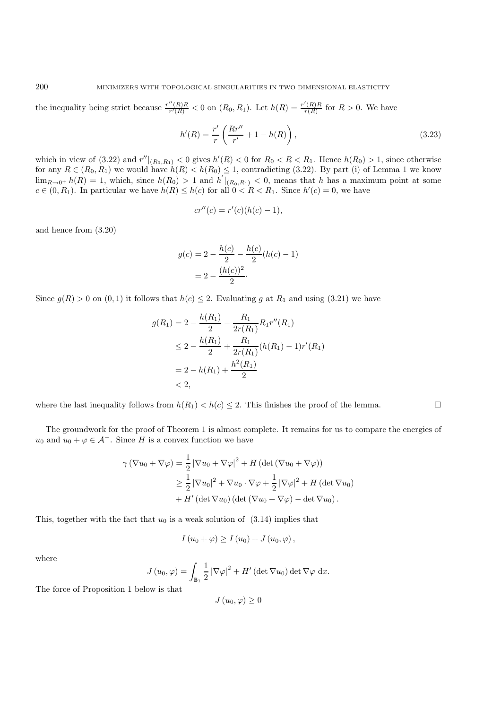the inequality being strict because  $\frac{r''(R)R}{r'(R)} < 0$  on  $(R_0, R_1)$ . Let  $h(R) = \frac{r'(R)R}{r(R)}$  for  $R > 0$ . We have

$$
h'(R) = \frac{r'}{r} \left( \frac{Rr''}{r'} + 1 - h(R) \right),
$$
\n(3.23)

which in view of  $(3.22)$  and  $r''|_{(R_0,R_1)} < 0$  gives  $h'(R) < 0$  for  $R_0 < R < R_1$ . Hence  $h(R_0) > 1$ , since otherwise for any  $R \in (R_0, R_1)$  we would have  $h(R) < h(R_0) \leq 1$ , contradicting (3.22). By part (i) of Lemma 1 we know  $\lim_{R\to 0^+} h(R) = 1$ , which, since  $h(R_0) > 1$  and  $h' |_{(R_0,R_1)} < 0$ , means that h has a maximum point at some  $c \in (0, R_1)$ . In particular we have  $h(R) \leq h(c)$  for all  $0 < R < R_1$ . Since  $h'(c) = 0$ , we have

$$
cr''(c) = r'(c)(h(c) - 1),
$$

and hence from (3.20)

$$
g(c) = 2 - \frac{h(c)}{2} - \frac{h(c)}{2}(h(c) - 1)
$$

$$
= 2 - \frac{(h(c))^2}{2}.
$$

Since  $g(R) > 0$  on  $(0, 1)$  it follows that  $h(c) \leq 2$ . Evaluating g at  $R_1$  and using  $(3.21)$  we have

$$
g(R_1) = 2 - \frac{h(R_1)}{2} - \frac{R_1}{2r(R_1)} R_1 r''(R_1)
$$
  
\n
$$
\leq 2 - \frac{h(R_1)}{2} + \frac{R_1}{2r(R_1)} (h(R_1) - 1)r'(R_1)
$$
  
\n
$$
= 2 - h(R_1) + \frac{h^2(R_1)}{2}
$$
  
\n
$$
< 2,
$$

where the last inequality follows from  $h(R_1) < h(c) \leq 2$ . This finishes the proof of the lemma.

The groundwork for the proof of Theorem 1 is almost complete. It remains for us to compare the energies of  $u_0$  and  $u_0 + \varphi \in \mathcal{A}^-$ . Since H is a convex function we have

$$
\gamma (\nabla u_0 + \nabla \varphi) = \frac{1}{2} |\nabla u_0 + \nabla \varphi|^2 + H (\det (\nabla u_0 + \nabla \varphi))
$$
  
\n
$$
\geq \frac{1}{2} |\nabla u_0|^2 + \nabla u_0 \cdot \nabla \varphi + \frac{1}{2} |\nabla \varphi|^2 + H (\det \nabla u_0)
$$
  
\n
$$
+ H' (\det \nabla u_0) (\det (\nabla u_0 + \nabla \varphi) - \det \nabla u_0).
$$

This, together with the fact that  $u_0$  is a weak solution of  $(3.14)$  implies that

$$
I(u_0 + \varphi) \ge I(u_0) + J(u_0, \varphi),
$$

where

$$
J(u_0, \varphi) = \int_{\mathbb{B}_1} \frac{1}{2} |\nabla \varphi|^2 + H'(\det \nabla u_0) \det \nabla \varphi \, dx.
$$

The force of Proposition 1 below is that

$$
J\left(u_{0},\varphi\right)\geq0
$$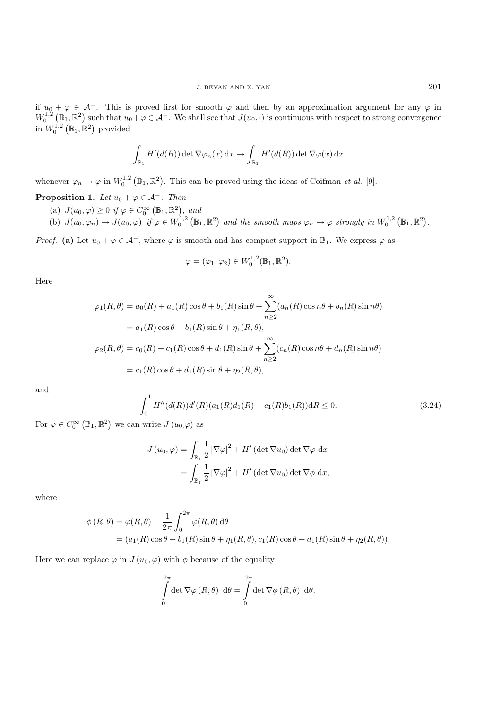if  $u_0 + \varphi \in \mathcal{A}^-$ . This is proved first for smooth  $\varphi$  and then by an approximation argument for any  $\varphi$  in  $W_0^{1,2}(\mathbb{B}_1,\mathbb{R}^2)$  such that  $u_0+\varphi\in\mathcal{A}^-$ . We shall see that  $J(u_0,\cdot)$  is continuous with respect to strong convergence in  $W_0^{1,2}(\mathbb{B}_1,\mathbb{R}^2)$  provided

$$
\int_{\mathbb{B}_1} H'(d(R)) \det \nabla \varphi_n(x) dx \to \int_{\mathbb{B}_1} H'(d(R)) \det \nabla \varphi(x) dx
$$

whenever  $\varphi_n \to \varphi$  in  $W_0^{1,2}(\mathbb{B}_1,\mathbb{R}^2)$ . This can be proved using the ideas of Coifman *et al.* [9].

- **Proposition 1.** *Let*  $u_0 + \varphi \in \mathcal{A}^-$ *. Then* 
	- (a)  $J(u_0, \varphi) \geq 0$  if  $\varphi \in C_0^{\infty}(\mathbb{B}_1, \mathbb{R}^2)$ , and
	- (b)  $J(u_0, \varphi_n) \to J(u_0, \varphi)$  *if*  $\varphi \in W_0^{1,2}(\mathbb{B}_1, \mathbb{R}^2)$  and the smooth maps  $\varphi_n \to \varphi$  strongly in  $W_0^{1,2}(\mathbb{B}_1, \mathbb{R}^2)$ .

*Proof.* (a) Let  $u_0 + \varphi \in \mathcal{A}^-$ , where  $\varphi$  is smooth and has compact support in  $\mathbb{B}_1$ . We express  $\varphi$  as

$$
\varphi=(\varphi_1,\varphi_2)\in W^{1,2}_0(\mathbb{B}_1,\mathbb{R}^2).
$$

Here

$$
\varphi_1(R,\theta) = a_0(R) + a_1(R)\cos\theta + b_1(R)\sin\theta + \sum_{n\geq 2}^{\infty} (a_n(R)\cos n\theta + b_n(R)\sin n\theta)
$$
  
=  $a_1(R)\cos\theta + b_1(R)\sin\theta + \eta_1(R,\theta),$   

$$
\varphi_2(R,\theta) = c_0(R) + c_1(R)\cos\theta + d_1(R)\sin\theta + \sum_{n\geq 2}^{\infty} (c_n(R)\cos n\theta + d_n(R)\sin n\theta)
$$
  
=  $c_1(R)\cos\theta + d_1(R)\sin\theta + \eta_2(R,\theta),$ 

and

$$
\int_0^1 H''(d(R))d'(R)(a_1(R)d_1(R) - c_1(R)b_1(R))\mathrm{d}R \le 0. \tag{3.24}
$$

For  $\varphi \in C_0^{\infty} (\mathbb{B}_1, \mathbb{R}^2)$  we can write  $J(u_0, \varphi)$  as

$$
J(u_0, \varphi) = \int_{\mathbb{B}_1} \frac{1}{2} |\nabla \varphi|^2 + H'(\det \nabla u_0) \det \nabla \varphi \, dx
$$
  
= 
$$
\int_{\mathbb{B}_1} \frac{1}{2} |\nabla \varphi|^2 + H'(\det \nabla u_0) \det \nabla \varphi \, dx,
$$

where

$$
\phi(R,\theta) = \varphi(R,\theta) - \frac{1}{2\pi} \int_0^{2\pi} \varphi(R,\theta) d\theta
$$
  
=  $(a_1(R)\cos\theta + b_1(R)\sin\theta + \eta_1(R,\theta), c_1(R)\cos\theta + d_1(R)\sin\theta + \eta_2(R,\theta)).$ 

Here we can replace  $\varphi$  in  $J(u_0, \varphi)$  with  $\phi$  because of the equality

$$
\int_{0}^{2\pi} \det \nabla \varphi (R, \theta) \, d\theta = \int_{0}^{2\pi} \det \nabla \phi (R, \theta) \, d\theta.
$$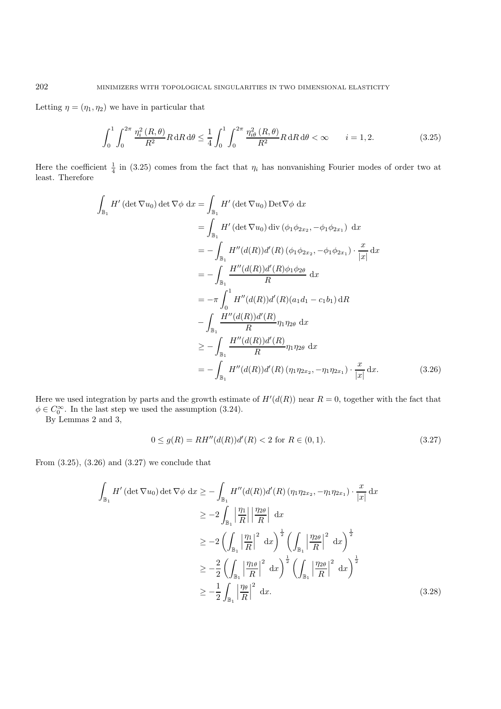Letting  $\eta = (\eta_1, \eta_2)$  we have in particular that

$$
\int_0^1 \int_0^{2\pi} \frac{\eta_i^2(R,\theta)}{R^2} R \, dR \, d\theta \le \frac{1}{4} \int_0^1 \int_0^{2\pi} \frac{\eta_{i\theta}^2(R,\theta)}{R^2} R \, dR \, d\theta < \infty \qquad i = 1, 2. \tag{3.25}
$$

Here the coefficient  $\frac{1}{4}$  in (3.25) comes from the fact that  $\eta_i$  has nonvanishing Fourier modes of order two at least. Therefore

$$
\int_{\mathbb{B}_{1}} H'(\det \nabla u_{0}) \det \nabla \phi \, dx = \int_{\mathbb{B}_{1}} H'(\det \nabla u_{0}) \operatorname{Det} \nabla \phi \, dx
$$
\n
$$
= \int_{\mathbb{B}_{1}} H'(\det \nabla u_{0}) \operatorname{div} (\phi_{1} \phi_{2x_{2}}, -\phi_{1} \phi_{2x_{1}}) \, dx
$$
\n
$$
= -\int_{\mathbb{B}_{1}} H''(d(R)) d'(R) (\phi_{1} \phi_{2x_{2}}, -\phi_{1} \phi_{2x_{1}}) \cdot \frac{x}{|x|} dx
$$
\n
$$
= -\int_{\mathbb{B}_{1}} \frac{H''(d(R)) d'(R) \phi_{1} \phi_{2\theta}}{R} dx
$$
\n
$$
= -\pi \int_{0}^{1} H''(d(R)) d'(R) (a_{1}d_{1} - c_{1}b_{1}) dR
$$
\n
$$
- \int_{\mathbb{B}_{1}} \frac{H''(d(R)) d'(R)}{R} \eta_{1} \eta_{2\theta} dx
$$
\n
$$
\geq - \int_{\mathbb{B}_{1}} \frac{H''(d(R)) d'(R)}{R} \eta_{1} \eta_{2\theta} dx
$$
\n
$$
= - \int_{\mathbb{B}_{1}} H''(d(R)) d'(R) (\eta_{1} \eta_{2x_{2}}, -\eta_{1} \eta_{2x_{1}}) \cdot \frac{x}{|x|} dx.
$$
\n(3.26)

Here we used integration by parts and the growth estimate of  $H'(d(R))$  near  $R=0$ , together with the fact that  $\phi \in C_0^{\infty}$ . In the last step we used the assumption (3.24).

By Lemmas 2 and 3,

$$
0 \le g(R) = RH''(d(R))d'(R) < 2 \text{ for } R \in (0,1). \tag{3.27}
$$

From  $(3.25)$ ,  $(3.26)$  and  $(3.27)$  we conclude that

$$
\int_{\mathbb{B}_{1}} H' \left( \det \nabla u_{0} \right) \det \nabla \phi \, dx \geq - \int_{\mathbb{B}_{1}} H'' \left( d(R) \right) d'(R) \left( \eta_{1} \eta_{2x_{2}}, -\eta_{1} \eta_{2x_{1}} \right) \cdot \frac{x}{|x|} dx
$$
\n
$$
\geq -2 \int_{\mathbb{B}_{1}} \left| \frac{\eta_{1}}{R} \right| \left| \frac{\eta_{2\theta}}{R} \right| dx
$$
\n
$$
\geq -2 \left( \int_{\mathbb{B}_{1}} \left| \frac{\eta_{1}}{R} \right|^{2} dx \right)^{\frac{1}{2}} \left( \int_{\mathbb{B}_{1}} \left| \frac{\eta_{2\theta}}{R} \right|^{2} dx \right)^{\frac{1}{2}}
$$
\n
$$
\geq -\frac{2}{2} \left( \int_{\mathbb{B}_{1}} \left| \frac{\eta_{1\theta}}{R} \right|^{2} dx \right)^{\frac{1}{2}} \left( \int_{\mathbb{B}_{1}} \left| \frac{\eta_{2\theta}}{R} \right|^{2} dx \right)^{\frac{1}{2}}
$$
\n
$$
\geq -\frac{1}{2} \int_{\mathbb{B}_{1}} \left| \frac{\eta_{\theta}}{R} \right|^{2} dx. \tag{3.28}
$$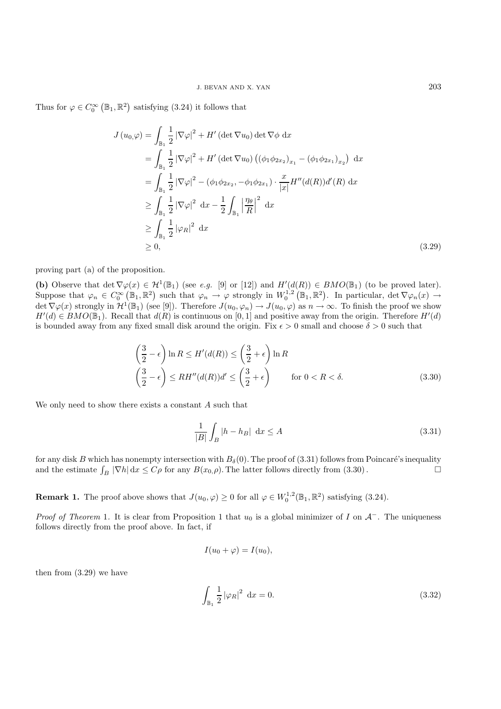Thus for  $\varphi \in C_0^{\infty}(\mathbb{B}_1,\mathbb{R}^2)$  satisfying (3.24) it follows that

$$
J(u_0,\varphi) = \int_{\mathbb{B}_1} \frac{1}{2} |\nabla \varphi|^2 + H' (\det \nabla u_0) \det \nabla \phi \, dx
$$
  
\n
$$
= \int_{\mathbb{B}_1} \frac{1}{2} |\nabla \varphi|^2 + H' (\det \nabla u_0) \left( (\phi_1 \phi_{2x_2})_{x_1} - (\phi_1 \phi_{2x_1})_{x_2} \right) \, dx
$$
  
\n
$$
= \int_{\mathbb{B}_1} \frac{1}{2} |\nabla \varphi|^2 - (\phi_1 \phi_{2x_2}, -\phi_1 \phi_{2x_1}) \cdot \frac{x}{|x|} H''(d(R)) d'(R) \, dx
$$
  
\n
$$
\geq \int_{\mathbb{B}_1} \frac{1}{2} |\nabla \varphi|^2 \, dx - \frac{1}{2} \int_{\mathbb{B}_1} \left| \frac{\eta \theta}{R} \right|^2 \, dx
$$
  
\n
$$
\geq \int_{\mathbb{B}_1} \frac{1}{2} |\varphi_R|^2 \, dx
$$
  
\n
$$
\geq 0,
$$
\n(3.29)

proving part (a) of the proposition.

**(b)** Observe that det  $\nabla \varphi(x) \in \mathcal{H}^1(\mathbb{B}_1)$  (see *e.g.* [9] or [12]) and  $H'(d(R)) \in BMO(\mathbb{B}_1)$  (to be proved later). Suppose that  $\varphi_n \in C_0^{\infty}(\mathbb{B}_1,\mathbb{R}^2)$  such that  $\varphi_n \to \varphi$  strongly in  $W_0^{1,2}(\mathbb{B}_1,\mathbb{R}^2)$ . In particular,  $\det \nabla \varphi_n(x) \to$ det  $\nabla \varphi(x)$  strongly in  $\mathcal{H}^1(\mathbb{B}_1)$  (see [9]). Therefore  $J(u_0, \varphi_n) \to J(u_0, \varphi)$  as  $n \to \infty$ . To finish the proof we show  $H'(d) \in BMO(\mathbb{B}_1)$ . Recall that  $d(R)$  is continuous on [0, 1] and positive away from the origin. Therefore  $H'(d)$ is bounded away from any fixed small disk around the origin. Fix  $\epsilon > 0$  small and choose  $\delta > 0$  such that

$$
\left(\frac{3}{2} - \epsilon\right) \ln R \le H'(d(R)) \le \left(\frac{3}{2} + \epsilon\right) \ln R
$$
  

$$
\left(\frac{3}{2} - \epsilon\right) \le RH''(d(R))d' \le \left(\frac{3}{2} + \epsilon\right) \qquad \text{for } 0 < R < \delta. \tag{3.30}
$$

We only need to show there exists a constant A such that

$$
\frac{1}{|B|} \int_{B} |h - h_B| \, \mathrm{d}x \le A \tag{3.31}
$$

for any disk B which has nonempty intersection with  $B_\delta(0)$ . The proof of (3.31) follows from Poincaré's inequality and the estimate  $\int_B |\nabla h| dx \le C\rho$  for any  $B(x_0, \rho)$ . The latter follows directly from (3.30).

**Remark 1.** The proof above shows that  $J(u_0, \varphi) \ge 0$  for all  $\varphi \in W_0^{1,2}(\mathbb{B}_1, \mathbb{R}^2)$  satisfying (3.24).

*Proof of Theorem* 1. It is clear from Proposition 1 that  $u_0$  is a global minimizer of I on  $\mathcal{A}^-$ . The uniqueness follows directly from the proof above. In fact, if

$$
I(u_0 + \varphi) = I(u_0),
$$

then from (3.29) we have

$$
\int_{\mathbb{B}_1} \frac{1}{2} |\varphi_R|^2 \, \mathrm{d}x = 0. \tag{3.32}
$$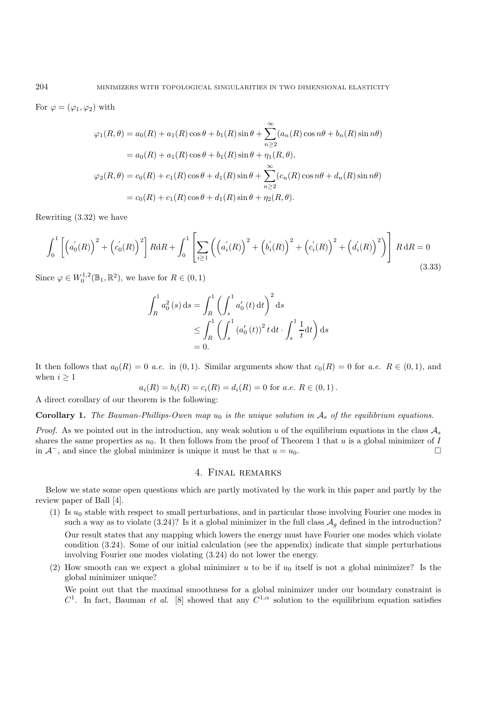For  $\varphi = (\varphi_1, \varphi_2)$  with

$$
\varphi_1(R,\theta) = a_0(R) + a_1(R)\cos\theta + b_1(R)\sin\theta + \sum_{n\geq 2}^{\infty} (a_n(R)\cos n\theta + b_n(R)\sin n\theta)
$$
  
=  $a_0(R) + a_1(R)\cos\theta + b_1(R)\sin\theta + \eta_1(R,\theta),$   

$$
\varphi_2(R,\theta) = c_0(R) + c_1(R)\cos\theta + d_1(R)\sin\theta + \sum_{n\geq 2}^{\infty} (c_n(R)\cos n\theta + d_n(R)\sin n\theta)
$$
  
=  $c_0(R) + c_1(R)\cos\theta + d_1(R)\sin\theta + \eta_2(R,\theta).$ 

Rewriting (3.32) we have

$$
\int_0^1 \left[ \left( a_0'(R) \right)^2 + \left( c_0'(R) \right)^2 \right] R dR + \int_0^1 \left[ \sum_{i \ge 1} \left( \left( a_i'(R) \right)^2 + \left( b_i'(R) \right)^2 + \left( c_i'(R) \right)^2 + \left( d_i'(R) \right)^2 \right) \right] R dR = 0
$$
\n(3.33)

Since  $\varphi \in W_0^{1,2}(\mathbb{B}_1, \mathbb{R}^2)$ , we have for  $R \in (0,1)$ 

$$
\int_{R}^{1} a_0^2(s) ds = \int_{R}^{1} \left( \int_{s}^{1} a'_0(t) dt \right)^2 ds
$$
  
\n
$$
\leq \int_{R}^{1} \left( \int_{s}^{1} (a'_0(t))^2 t dt \cdot \int_{s}^{1} \frac{1}{t} dt \right) ds
$$
  
\n= 0.

It then follows that  $a_0(R)=0$  *a.e.* in  $(0, 1)$ . Similar arguments show that  $c_0(R)=0$  for *a.e.*  $R \in (0, 1)$ , and when  $i \geq 1$ 

$$
a_i(R) = b_i(R) = c_i(R) = d_i(R) = 0
$$
 for a.e.  $R \in (0,1)$ .

A direct corollary of our theorem is the following:

**Corollary 1.** *The Bauman-Phillips-Owen map*  $u_0$  *is the unique solution in*  $A_s$  *of the equilibrium equations.* 

*Proof.* As we pointed out in the introduction, any weak solution u of the equilibrium equations in the class  $A_s$ shares the same properties as  $u_0$ . It then follows from the proof of Theorem 1 that u is a global minimizer of I in  $\mathcal{A}^-$ , and since the global minimizer is unique it must be that  $u = u_0$ . □

## 4. Final remarks

Below we state some open questions which are partly motivated by the work in this paper and partly by the review paper of Ball [4].

- (1) Is  $u_0$  stable with respect to small perturbations, and in particular those involving Fourier one modes in such a way as to violate  $(3.24)$ ? Is it a global minimizer in the full class  $\mathcal{A}_q$  defined in the introduction? Our result states that any mapping which lowers the energy must have Fourier one modes which violate condition (3.24). Some of our initial calculation (see the appendix) indicate that simple perturbations involving Fourier one modes violating (3.24) do not lower the energy.
- (2) How smooth can we expect a global minimizer u to be if  $u_0$  itself is not a global minimizer? Is the global minimizer unique?

We point out that the maximal smoothness for a global minimizer under our boundary constraint is  $C^1$ . In fact, Bauman *et al.* [8] showed that any  $C^{1,\alpha}$  solution to the equilibrium equation satisfies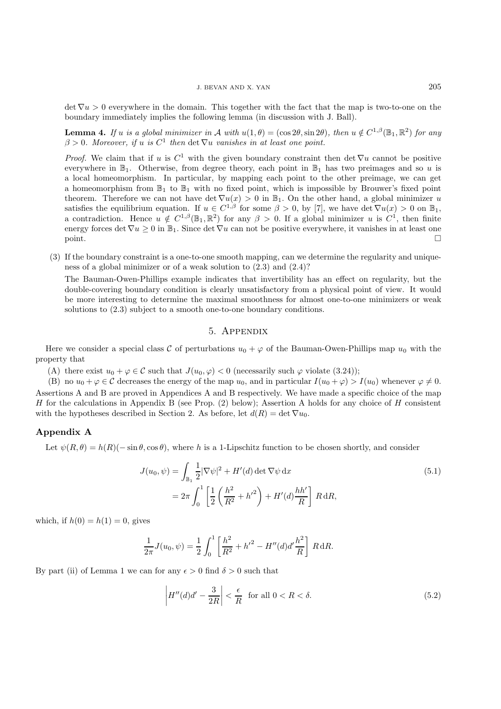$\det \nabla u > 0$  everywhere in the domain. This together with the fact that the map is two-to-one on the boundary immediately implies the following lemma (in discussion with J. Ball).

**Lemma 4.** *If* u *is a global minimizer in* A *with*  $u(1, \theta) = (\cos 2\theta, \sin 2\theta)$ *, then*  $u \notin C^{1,\beta}(\mathbb{B}_1, \mathbb{R}^2)$  *for any*  $\beta > 0$ *. Moreover, if* u *is*  $C^1$  *then* det  $\nabla u$  *vanishes in at least one point.* 

*Proof.* We claim that if u is  $C^1$  with the given boundary constraint then det  $\nabla u$  cannot be positive everywhere in  $\mathbb{B}_1$ . Otherwise, from degree theory, each point in  $\mathbb{B}_1$  has two preimages and so u is a local homeomorphism. In particular, by mapping each point to the other preimage, we can get a homeomorphism from  $\mathbb{B}_1$  to  $\mathbb{B}_1$  with no fixed point, which is impossible by Brouwer's fixed point theorem. Therefore we can not have det  $\nabla u(x) > 0$  in  $\mathbb{B}_1$ . On the other hand, a global minimizer u satisfies the equilibrium equation. If  $u \in C^{1,\beta}$  for some  $\beta > 0$ , by [7], we have det  $\nabla u(x) > 0$  on  $\mathbb{B}_1$ , a contradiction. Hence  $u \notin C^{1,\beta}(\mathbb{B}_1,\mathbb{R}^2)$  for any  $\beta > 0$ . If a global minimizer u is  $C^1$ , then finite energy forces det  $\nabla u \geq 0$  in  $\mathbb{B}_1$ . Since det  $\nabla u$  can not be positive everywhere, it vanishes in at least one point.  $\square$ 

(3) If the boundary constraint is a one-to-one smooth mapping, can we determine the regularity and uniqueness of a global minimizer or of a weak solution to (2.3) and (2.4)?

The Bauman-Owen-Phillips example indicates that invertibility has an effect on regularity, but the double-covering boundary condition is clearly unsatisfactory from a physical point of view. It would be more interesting to determine the maximal smoothness for almost one-to-one minimizers or weak solutions to (2.3) subject to a smooth one-to-one boundary conditions.

## 5. Appendix

Here we consider a special class C of perturbations  $u_0 + \varphi$  of the Bauman-Owen-Phillips map  $u_0$  with the property that

(A) there exist  $u_0 + \varphi \in \mathcal{C}$  such that  $J(u_0, \varphi) < 0$  (necessarily such  $\varphi$  violate (3.24));

(B) no  $u_0 + \varphi \in \mathcal{C}$  decreases the energy of the map  $u_0$ , and in particular  $I(u_0 + \varphi) > I(u_0)$  whenever  $\varphi \neq 0$ . Assertions A and B are proved in Appendices A and B respectively. We have made a specific choice of the map H for the calculations in Appendix B (see Prop.  $(2)$  below); Assertion A holds for any choice of H consistent with the hypotheses described in Section 2. As before, let  $d(R) = \det \nabla u_0$ .

#### **Appendix A**

Let  $\psi(R, \theta) = h(R)(-\sin \theta, \cos \theta)$ , where h is a 1-Lipschitz function to be chosen shortly, and consider

$$
J(u_0, \psi) = \int_{\mathbb{B}_1} \frac{1}{2} |\nabla \psi|^2 + H'(d) \det \nabla \psi \, dx
$$
  
=  $2\pi \int_0^1 \left[ \frac{1}{2} \left( \frac{h^2}{R^2} + {h'}^2 \right) + H'(d) \frac{hh'}{R} \right] R \, dR,$  (5.1)

which, if  $h(0) = h(1) = 0$ , gives

$$
\frac{1}{2\pi}J(u_0,\psi) = \frac{1}{2}\int_0^1 \left[\frac{h^2}{R^2} + {h'}^2 - H''(d)d'\frac{h^2}{R}\right] R dR.
$$

By part (ii) of Lemma 1 we can for any  $\epsilon > 0$  find  $\delta > 0$  such that

$$
\left|H''(d)d' - \frac{3}{2R}\right| < \frac{\epsilon}{R} \quad \text{for all } 0 < R < \delta. \tag{5.2}
$$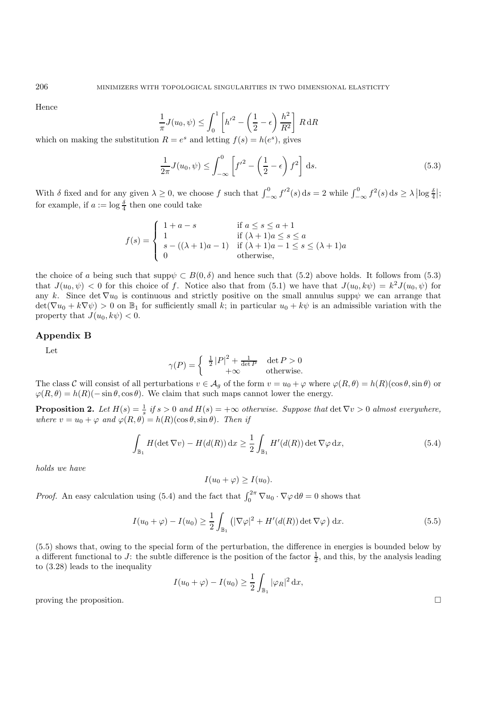Hence

$$
\frac{1}{\pi}J(u_0, \psi) \le \int_0^1 \left[ h'^2 - \left( \frac{1}{2} - \epsilon \right) \frac{h^2}{R^2} \right] R \, dR
$$
\n
$$
B = c^s \text{ and letting } f(s) = h(s^s) \text{ gives}
$$

which on making the substitution  $R = e^s$  and letting  $f(s) = h(e^s)$ , gives

$$
\frac{1}{2\pi}J(u_0,\psi) \le \int_{-\infty}^0 \left[f'^2 - \left(\frac{1}{2} - \epsilon\right)f^2\right] ds.
$$
\n(5.3)

With  $\delta$  fixed and for any given  $\lambda \geq 0$ , we choose f such that  $\int_{-\infty}^{0} f'^{2}(s) ds = 2$  while  $\int_{-\infty}^{0} f^{2}(s) ds \geq \lambda |\log \frac{\delta}{4}|$ ; for example, if  $a := \log \frac{\delta}{4}$  then one could take

$$
f(s) = \begin{cases} 1 + a - s & \text{if } a \le s \le a + 1 \\ 1 & \text{if } (\lambda + 1)a \le s \le a \\ s - ((\lambda + 1)a - 1) & \text{if } (\lambda + 1)a - 1 \le s \le (\lambda + 1)a \\ 0 & \text{otherwise,} \end{cases}
$$

the choice of a being such that supp $\psi \subset B(0,\delta)$  and hence such that (5.2) above holds. It follows from (5.3) that  $J(u_0, \psi) < 0$  for this choice of f. Notice also that from (5.1) we have that  $J(u_0, k\psi) = k^2 J(u_0, \psi)$  for any k. Since det  $\nabla u_0$  is continuous and strictly positive on the small annulus supp $\psi$  we can arrange that  $\det(\nabla u_0 + k\nabla \psi) > 0$  on  $\mathbb{B}_1$  for sufficiently small k; in particular  $u_0 + k\psi$  is an admissible variation with the property that  $J(u_0, k\psi) < 0$ .

#### **Appendix B**

Let

$$
\gamma(P) = \begin{cases} \frac{1}{2} |P|^2 + \frac{1}{\det P} & \det P > 0\\ +\infty & \text{otherwise.} \end{cases}
$$

The class C will consist of all perturbations  $v \in A_q$  of the form  $v = u_0 + \varphi$  where  $\varphi(R, \theta) = h(R)(\cos \theta, \sin \theta)$  or  $\varphi(R,\theta) = h(R)(-\sin\theta,\cos\theta)$ . We claim that such maps cannot lower the energy.

**Proposition 2.** Let  $H(s) = \frac{1}{s}$  if  $s > 0$  and  $H(s) = +\infty$  otherwise. Suppose that  $\det \nabla v > 0$  almost everywhere, *where*  $v = u_0 + \varphi$  *and*  $\varphi(R, \theta) = h(R)(\cos \theta, \sin \theta)$ *. Then if* 

$$
\int_{\mathbb{B}_1} H(\det \nabla v) - H(d(R)) \, \mathrm{d}x \ge \frac{1}{2} \int_{\mathbb{B}_1} H'(d(R)) \det \nabla \varphi \, \mathrm{d}x,\tag{5.4}
$$

*holds we have*

$$
I(u_0 + \varphi) \ge I(u_0).
$$

*Proof.* An easy calculation using (5.4) and the fact that  $\int_0^{2\pi} \nabla u_0 \cdot \nabla \varphi \, d\theta = 0$  shows that

$$
I(u_0 + \varphi) - I(u_0) \ge \frac{1}{2} \int_{\mathbb{B}_1} \left( |\nabla \varphi|^2 + H'(d(R)) \det \nabla \varphi \right) dx.
$$
 (5.5)

(5.5) shows that, owing to the special form of the perturbation, the difference in energies is bounded below by a different functional to J: the subtle difference is the position of the factor  $\frac{1}{2}$ , and this, by the analysis leading to (3.28) leads to the inequality

$$
I(u_0 + \varphi) - I(u_0) \ge \frac{1}{2} \int_{\mathbb{B}_1} |\varphi_R|^2 dx,
$$
 proving the proposition.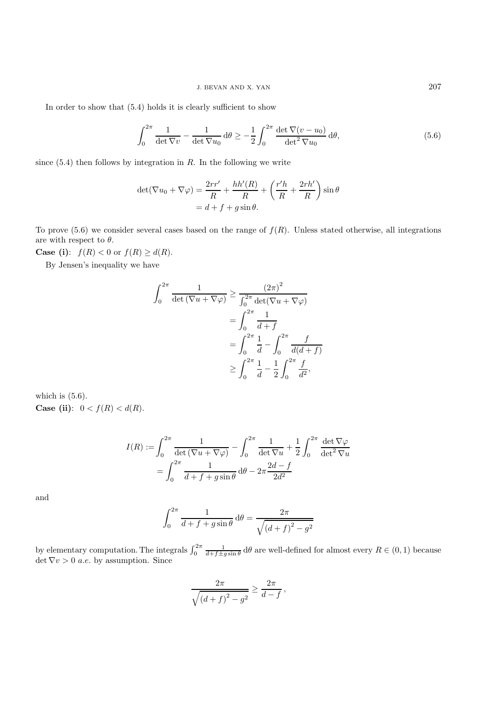In order to show that (5.4) holds it is clearly sufficient to show

$$
\int_0^{2\pi} \frac{1}{\det \nabla v} - \frac{1}{\det \nabla u_0} d\theta \ge -\frac{1}{2} \int_0^{2\pi} \frac{\det \nabla (v - u_0)}{\det^2 \nabla u_0} d\theta,
$$
\n(5.6)

since  $(5.4)$  then follows by integration in R. In the following we write

$$
\det(\nabla u_0 + \nabla \varphi) = \frac{2rr'}{R} + \frac{hh'(R)}{R} + \left(\frac{r'h}{R} + \frac{2rh'}{R}\right)\sin\theta
$$

$$
= d + f + g\sin\theta.
$$

To prove  $(5.6)$  we consider several cases based on the range of  $f(R)$ . Unless stated otherwise, all integrations are with respect to  $\theta$ .

**Case (i)**:  $f(R) < 0$  or  $f(R) \ge d(R)$ .

By Jensen's inequality we have

$$
\int_0^{2\pi} \frac{1}{\det(\nabla u + \nabla \varphi)} \ge \frac{(2\pi)^2}{\int_0^{2\pi} \det(\nabla u + \nabla \varphi)}
$$
  
= 
$$
\int_0^{2\pi} \frac{1}{d+f}
$$
  
= 
$$
\int_0^{2\pi} \frac{1}{d} - \int_0^{2\pi} \frac{f}{d(d+f)}
$$
  

$$
\ge \int_0^{2\pi} \frac{1}{d} - \frac{1}{2} \int_0^{2\pi} \frac{f}{d^2},
$$

which is  $(5.6)$ . **Case (ii)**:  $0 < f(R) < d(R)$ .

$$
I(R) := \int_0^{2\pi} \frac{1}{\det(\nabla u + \nabla \varphi)} - \int_0^{2\pi} \frac{1}{\det \nabla u} + \frac{1}{2} \int_0^{2\pi} \frac{\det \nabla \varphi}{\det^2 \nabla u}
$$

$$
= \int_0^{2\pi} \frac{1}{d + f + g \sin \theta} d\theta - 2\pi \frac{2d - f}{2d^2}
$$

and

$$
\int_0^{2\pi} \frac{1}{d+f+g\sin\theta} \,\mathrm{d}\theta = \frac{2\pi}{\sqrt{\left(d+f\right)^2 - g^2}}
$$

by elementary computation. The integrals  $\int_0^{2\pi} \frac{1}{d+f\pm g\sin\theta} d\theta$  are well-defined for almost every  $R \in (0,1)$  because det  $\nabla v > 0$  *a.e.* by assumption. Since

$$
\frac{2\pi}{\sqrt{\left(d+f\right)^2-g^2}} \ge \frac{2\pi}{d-f},
$$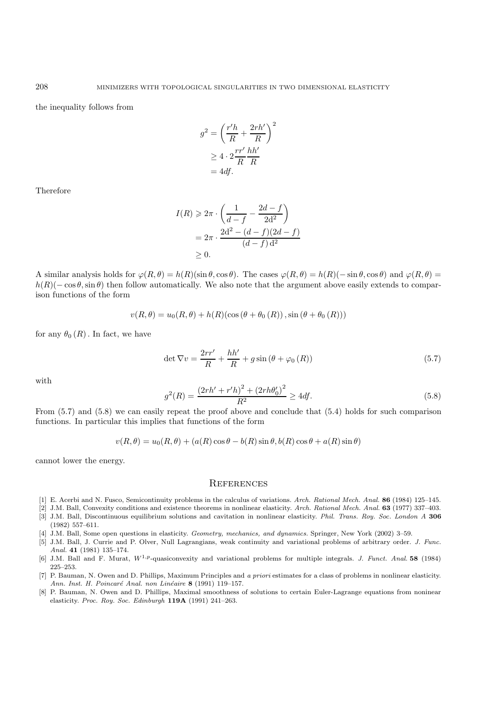the inequality follows from

$$
g^{2} = \left(\frac{r'h}{R} + \frac{2rh'}{R}\right)^{2}
$$

$$
\geq 4 \cdot 2\frac{rr'}{R}\frac{hh'}{R}
$$

$$
= 4df.
$$

Therefore

$$
I(R) \geqslant 2\pi \cdot \left(\frac{1}{d-f} - \frac{2d-f}{2d^2}\right)
$$
  
= 
$$
2\pi \cdot \frac{2d^2 - (d-f)(2d-f)}{(d-f) d^2}
$$
  

$$
\geq 0.
$$

A similar analysis holds for  $\varphi(R,\theta) = h(R)(\sin \theta, \cos \theta)$ . The cases  $\varphi(R,\theta) = h(R)(-\sin \theta, \cos \theta)$  and  $\varphi(R,\theta) = h(R)(\sin \theta, \cos \theta)$ .  $h(R)(-\cos\theta,\sin\theta)$  then follow automatically. We also note that the argument above easily extends to comparison functions of the form

$$
v(R, \theta) = u_0(R, \theta) + h(R)(\cos(\theta + \theta_0(R)), \sin(\theta + \theta_0(R)))
$$

for any  $\theta_0(R)$ . In fact, we have

$$
\det \nabla v = \frac{2rr'}{R} + \frac{hh'}{R} + g\sin\left(\theta + \varphi_0\left(R\right)\right) \tag{5.7}
$$

with

$$
g^{2}(R) = \frac{(2rh' + r'h)^{2} + (2rh\theta_{0}')^{2}}{R^{2}} \ge 4df.
$$
\n(5.8)

From (5.7) and (5.8) we can easily repeat the proof above and conclude that (5.4) holds for such comparison functions. In particular this implies that functions of the form

$$
v(R, \theta) = u_0(R, \theta) + (a(R)\cos\theta - b(R)\sin\theta, b(R)\cos\theta + a(R)\sin\theta)
$$

cannot lower the energy.

#### **REFERENCES**

- [1] E. Acerbi and N. Fusco, Semicontinuity problems in the calculus of variations. *Arch. Rational Mech. Anal.* **86** (1984) 125–145.
- [2] J.M. Ball, Convexity conditions and existence theorems in nonlinear elasticity. *Arch. Rational Mech. Anal.* **63** (1977) 337–403.
- [3] J.M. Ball, Discontinuous equilibrium solutions and cavitation in nonlinear elasticity. *Phil. Trans. Roy. Soc. London A* **306** (1982) 557–611.
- [4] J.M. Ball, Some open questions in elasticity. *Geometry, mechanics, and dynamics.* Springer, New York (2002) 3–59.
- [5] J.M. Ball, J. Currie and P. Olver, Null Lagrangians, weak continuity and variational problems of arbitrary order. *J. Func. Anal.* **41** (1981) 135–174.
- [6] J.M. Ball and F. Murat, *W*1*,p*-quasiconvexity and variational problems for multiple integrals. *J. Funct. Anal.* **58** (1984) 225–253.
- [7] P. Bauman, N. Owen and D. Phillips, Maximum Principles and *a priori* estimates for a class of problems in nonlinear elasticity. *Ann. Inst. H. Poincar´e Anal. non Lin´eaire* **8** (1991) 119–157.
- [8] P. Bauman, N. Owen and D. Phillips, Maximal smoothness of solutions to certain Euler-Lagrange equations from noninear elasticity. *Proc. Roy. Soc. Edinburgh* **119A** (1991) 241–263.